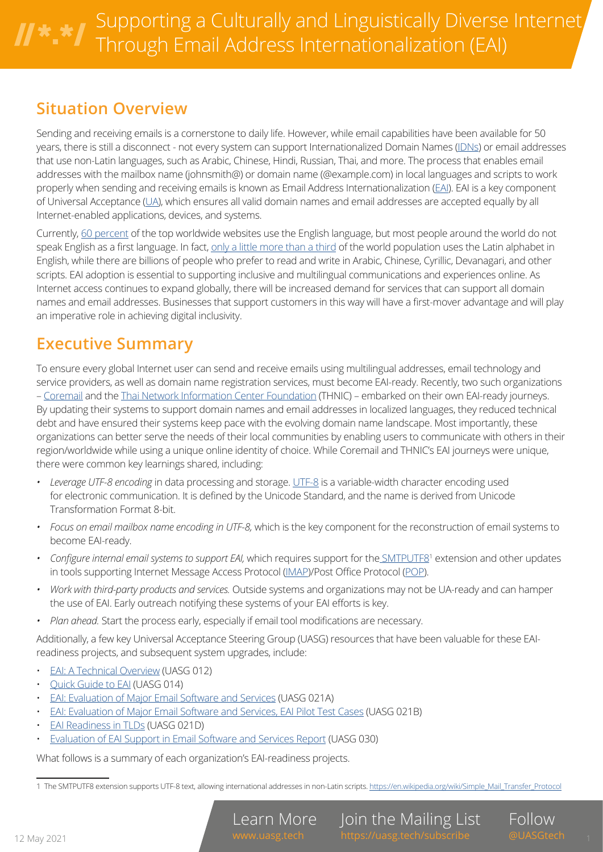### **Situation Overview**

Sending and receiving emails is a cornerstone to daily life. However, while email capabilities have been available for 50 years, there is still a disconnect - not every system can support Internationalized Domain Names [\(IDNs\)](https://www.icann.org/resources/pages/glossary-2014-02-04-en#d) or email addresses that use non-Latin languages, such as Arabic, Chinese, Hindi, Russian, Thai, and more. The process that enables email addresses with the mailbox name (johnsmith@) or domain name (@example.com) in local languages and scripts to work properly when sending and receiving emails is known as Email Address Internationalization [\(EAI\)](https://www.icann.org/en/icann-acronyms-and-terms?nav-letter=e&page=1). EAI is a key component of Universal Acceptance ([UA](https://www.icann.org/en/icann-acronyms-and-terms?nav-letter=u&page=1)), which ensures all valid domain names and email addresses are accepted equally by all Internet-enabled applications, devices, and systems.

Currently, [60 percent](https://en.wikipedia.org/wiki/Languages_used_on_the_Internet) of the top worldwide websites use the English language, but most people around the world do not speak English as a first language. In fact, [only a little more than a third](https://www.worldstandards.eu/other/alphabets/) of the world population uses the Latin alphabet in English, while there are billions of people who prefer to read and write in Arabic, Chinese, Cyrillic, Devanagari, and other scripts. EAI adoption is essential to supporting inclusive and multilingual communications and experiences online. As Internet access continues to expand globally, there will be increased demand for services that can support all domain names and email addresses. Businesses that support customers in this way will have a first-mover advantage and will play an imperative role in achieving digital inclusivity.

### **Executive Summary**

To ensure every global Internet user can send and receive emails using multilingual addresses, email technology and service providers, as well as domain name registration services, must become EAI-ready. Recently, two such organizations – [Coremail](http://www.coremail.cn/) and the [Thai Network Information Center Foundation](https://thnicfoundation.in.th/en/aboutus-en/) (THNIC) – embarked on their own EAI-ready journeys. By updating their systems to support domain names and email addresses in localized languages, they reduced technical debt and have ensured their systems keep pace with the evolving domain name landscape. Most importantly, these organizations can better serve the needs of their local communities by enabling users to communicate with others in their region/worldwide while using a unique online identity of choice. While Coremail and THNIC's EAI journeys were unique, there were common key learnings shared, including:

- *• Leverage UTF-8 encoding* in data processing and storage. [UTF-8](https://en.wikipedia.org/wiki/UTF-8) is a variable-width character encoding used for electronic communication. It is defined by the Unicode Standard, and the name is derived from Unicode Transformation Format 8-bit.
- *• Focus on email mailbox name encoding in UTF-8,* which is the key component for the reconstruction of email systems to become EAI-ready.
- Configure internal email systems to support EAI, which requires support for the **SMTPUTF8<sup>1</sup>** extension and other updates in tools supporting Internet Message Access Protocol [\(IMAP](https://en.wikipedia.org/wiki/Internet_Message_Access_Protocol))/Post Office Protocol ([POP\)](https://en.wikipedia.org/wiki/Post_Office_Protocol).
- *• Work with third-party products and services.* Outside systems and organizations may not be UA-ready and can hamper the use of EAI. Early outreach notifying these systems of your EAI efforts is key.
- *• Plan ahead.* Start the process early, especially if email tool modifications are necessary.

Additionally, a few key Universal Acceptance Steering Group (UASG) resources that have been valuable for these EAIreadiness projects, and subsequent system upgrades, include:

- [EAI: A Technical Overview](https://uasg.tech/wp-content/uploads/documents/UASG012-en-digital.pdf) (UASG 012)
- [Quick Guide to EAI](https://uasg.tech/wp-content/uploads/documents/UASG014-en-digital.pdf) (UASG 014)
- [EAI: Evaluation of Major Email Software and Services](https://uasg.tech/wp-content/uploads/documents/UASG021A-en-digital.pdf) (UASG 021A)
- [EAI: Evaluation of Major Email Software and Services, EAI Pilot Test Cases](https://uasg.tech/wp-content/uploads/documents/UASG021B-en-digital.pdf) (UASG 021B)
- [EAI Readiness in TLDs](https://uasg.tech/wp-content/uploads/2019/02/UASG021D-EN-EAI-Readiness-in-TLDs.pdf) (UASG 021D)
- [Evaluation of EAI Support in Email Software and Services Report](https://uasg.tech/wp-content/uploads/documents/UASG030-en-digital.pdf) (UASG 030)

What follows is a summary of each organization's EAI-readiness projects.

Join the Mailing List

Follow

<sup>1</sup> The SMTPUTF8 extension supports UTF-8 text, allowing international addresses in non-Latin scripts. [https://en.wikipedia.org/wiki/Simple\\_Mail\\_Transfer\\_Protocol](https://en.wikipedia.org/wiki/Simple_ Mail_Transfer_Protocol)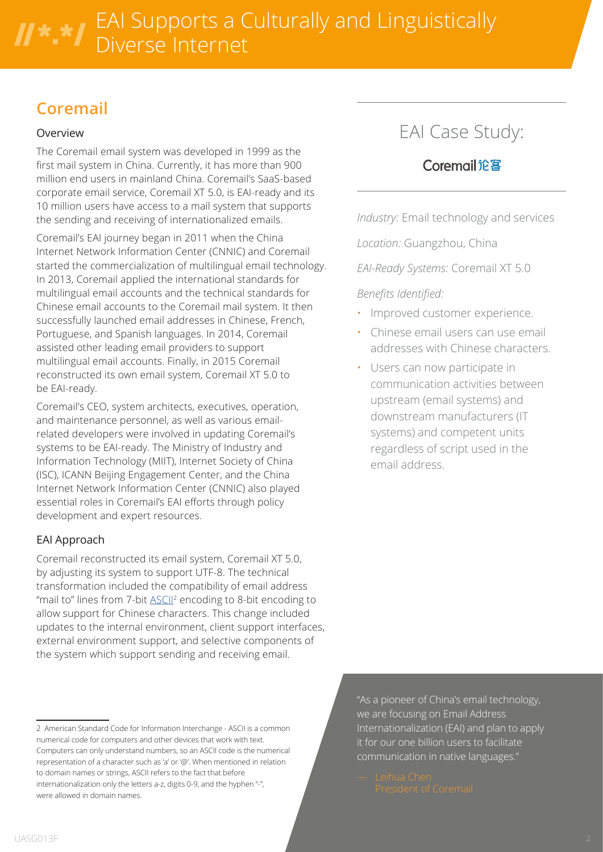### **Coremail**

#### Overview

The Coremail email system was developed in 1999 as the first mail system in China. Currently, it has more than 900 million end users in mainland China. Coremail's SaaS-based corporate email service, Coremail XT 5.0, is EAI-ready and its 10 million users have access to a mail system that supports the sending and receiving of internationalized emails.

Coremail's EAI journey began in 2011 when the China Internet Network Information Center (CNNIC) and Coremail started the commercialization of multilingual email technology. In 2013, Coremail applied the international standards for multilingual email accounts and the technical standards for Chinese email accounts to the Coremail mail system. It then successfully launched email addresses in Chinese, French, Portuguese, and Spanish languages. In 2014, Coremail assisted other leading email providers to support multilingual email accounts. Finally, in 2015 Coremail reconstructed its own email system, Coremail XT 5.0 to be EAI-ready.

Coremail's CEO, system architects, executives, operation, and maintenance personnel, as well as various emailrelated developers were involved in updating Coremail's systems to be EAI-ready. The Ministry of Industry and Information Technology (MIIT), Internet Society of China (ISC), ICANN Beijing Engagement Center, and the China Internet Network Information Center (CNNIC) also played essential roles in Coremail's EAI efforts through policy development and expert resources.

### EAI Approach

Coremail reconstructed its email system, Coremail XT 5.0, by adjusting its system to support UTF-8. The technical transformation included the compatibility of email address "mail to" lines from 7-bit **ASCII<sup>2</sup>** encoding to 8-bit encoding to allow support for Chinese characters. This change included updates to the internal environment, client support interfaces, external environment support, and selective components of the system which support sending and receiving email.

## EAI Case Study:

### Coremail论客

*Industry:* Email technology and services

*Location:* Guangzhou, China

*EAI-Ready Systems:* Coremail XT 5.0

### *Benefits Identified:*

- Improved customer experience.
- Chinese email users can use email addresses with Chinese characters.
- Users can now participate in communication activities between upstream (email systems) and downstream manufacturers (IT systems) and competent units regardless of script used in the email address.

"As a pioneer of China's email technology, we are focusing on Email Address Internationalization (EAI) and plan to apply it for our one billion users to facilitate communication in native languages."

<sup>2</sup> American Standard Code for Information Interchange - ASCII is a common numerical code for computers and other devices that work with text. Computers can only understand numbers, so an ASCII code is the numerical representation of a character such as 'a' or '@'. When mentioned in relation to domain names or strings, ASCII refers to the fact that before internationalization only the letters a-z, digits 0-9, and the hyphen "-", were allowed in domain names.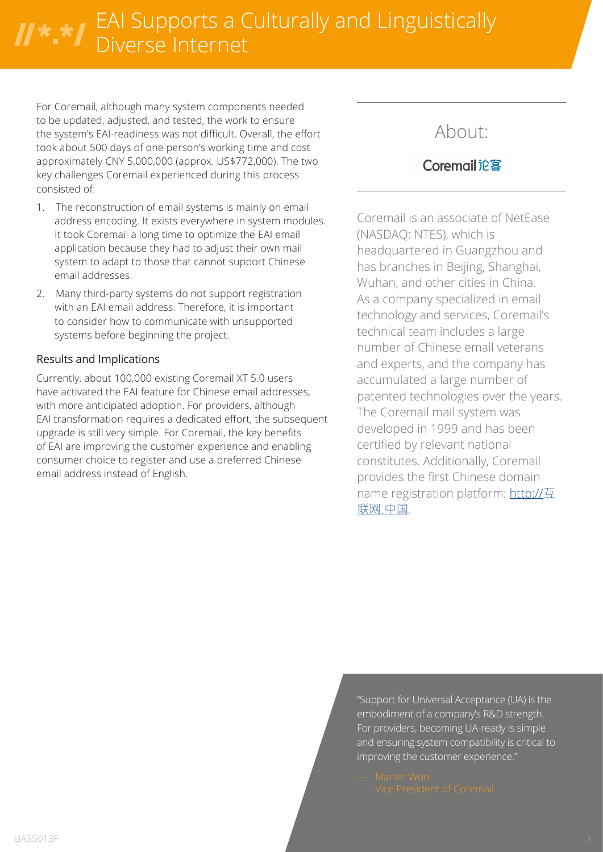## EAI Supports a Culturally and Linguistically Diverse Internet

For Coremail, although many system components needed to be updated, adjusted, and tested, the work to ensure the system's EAI-readiness was not difficult. Overall, the effort took about 500 days of one person's working time and cost approximately CNY 5,000,000 (approx. US\$772,000). The two key challenges Coremail experienced during this process consisted of:

- 1. The reconstruction of email systems is mainly on email address encoding. It exists everywhere in system modules. It took Coremail a long time to optimize the EAI email application because they had to adjust their own mail system to adapt to those that cannot support Chinese email addresses.
- 2. Many third-party systems do not support registration with an EAI email address. Therefore, it is important to consider how to communicate with unsupported systems before beginning the project.

#### Results and Implications

Currently, about 100,000 existing Coremail XT 5.0 users have activated the EAI feature for Chinese email addresses, with more anticipated adoption. For providers, although EAI transformation requires a dedicated effort, the subsequent upgrade is still very simple. For Coremail, the key benefits of EAI are improving the customer experience and enabling consumer choice to register and use a preferred Chinese email address instead of English.

### About:

### Coremail论客

Coremail is an associate of NetEase (NASDAQ: NTES), which is headquartered in Guangzhou and has branches in Beijing, Shanghai, Wuhan, and other cities in China. As a company specialized in email technology and services, Coremail's technical team includes a large number of Chinese email veterans and experts, and the company has accumulated a large number of patented technologies over the years. The Coremail mail system was developed in 1999 and has been certified by relevant national constitutes. Additionally, Coremail provides the first Chinese domain name registration platform: [http://](http://互联网.中国)互 [联网.中国](http://互联网.中国).

"Support for Universal Acceptance (UA) is the embodiment of a company's R&D strength. For providers, becoming UA-ready is simple and ensuring system compatibility is critical to improving the customer experience."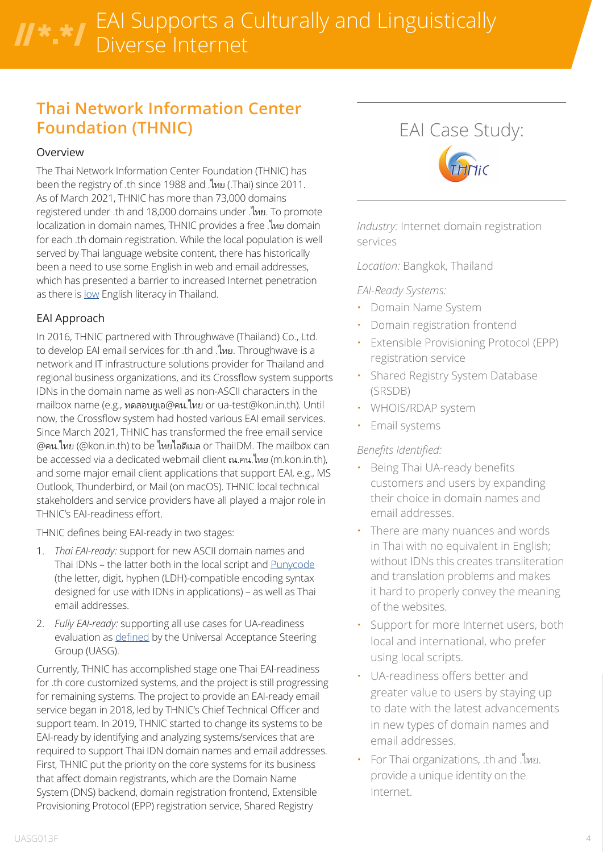# EAI Supports a Culturally and Linguistically Diverse Internet

### **Thai Network Information Center Foundation (THNIC)**

#### Overview

The Thai Network Information Center Foundation (THNIC) has been the registry of .th since 1988 and .ไทย (.Thai) since 2011. As of March 2021, THNIC has more than 73,000 domains registered under .th and 18,000 domains under .ไทย. To promote localization in domain names, THNIC provides a free .ไทย domain for each .th domain registration. While the local population is well served by Thai language website content, there has historically been a need to use some English in web and email addresses, which has presented a barrier to increased Internet penetration as there is [low](https://en.wikipedia.org/wiki/EF_English_Proficiency_Index) English literacy in Thailand.

### EAI Approach

In 2016, THNIC partnered with Throughwave (Thailand) Co., Ltd. to develop EAI email services for .th and .ไทย. Throughwave is a network and IT infrastructure solutions provider for Thailand and regional business organizations, and its Crossflow system supports IDNs in the domain name as well as non-ASCII characters in the mailbox name (e.g., ทดสอบยูเอ@คน.ไทย or ua-test@kon.in.th). Until now, the Crossflow system had hosted various EAI email services. Since March 2021, THNIC has transformed the free email service @คน.ไทย (@kon.in.th) to be ไทยไอดีเมล or ThaiIDM. The mailbox can be accessed via a dedicated webmail client ณ.คน.ไทย (m.kon.in.th), and some major email client applications that support EAI, e.g., MS Outlook, Thunderbird, or Mail (on macOS). THNIC local technical stakeholders and service providers have all played a major role in THNIC's EAI-readiness effort.

THNIC defines being EAI-ready in two stages:

- 1. *Thai EAI-ready:* support for new ASCII domain names and Thai IDNs – the latter both in the local script and [Punycode](https://www.icann.org/resources/pages/glossary-2014-02-04-en#p) (the letter, digit, hyphen (LDH)-compatible encoding syntax designed for use with IDNs in applications) – as well as Thai email addresses.
- 2. *Fully EAI-ready:* supporting all use cases for UA-readiness evaluation as [defined](https://uasg.tech/wp-content/uploads/documents/UASG026-en-digital.pdf) by the Universal Acceptance Steering Group (UASG).

Currently, THNIC has accomplished stage one Thai EAI-readiness for .th core customized systems, and the project is still progressing for remaining systems. The project to provide an EAI-ready email service began in 2018, led by THNIC's Chief Technical Officer and support team. In 2019, THNIC started to change its systems to be EAI-ready by identifying and analyzing systems/services that are required to support Thai IDN domain names and email addresses. First, THNIC put the priority on the core systems for its business that affect domain registrants, which are the Domain Name System (DNS) backend, domain registration frontend, Extensible Provisioning Protocol (EPP) registration service, Shared Registry



*Industry:* Internet domain registration services

*Location:* Bangkok, Thailand

#### *EAI-Ready Systems:*

- Domain Name System
- Domain registration frontend
- **Extensible Provisioning Protocol (EPP)** registration service
- Shared Registry System Database (SRSDB)
- WHOIS/RDAP system
- Email systems

#### *Benefits Identified:*

- Being Thai UA-ready benefits customers and users by expanding their choice in domain names and email addresses.
- There are many nuances and words in Thai with no equivalent in English; without IDNs this creates transliteration and translation problems and makes it hard to properly convey the meaning of the websites.
- Support for more Internet users, both local and international, who prefer using local scripts.
- UA-readiness offers better and greater value to users by staying up to date with the latest advancements in new types of domain names and email addresses.
- For Thai organizations, .th and .ไทย. provide a unique identity on the Internet.